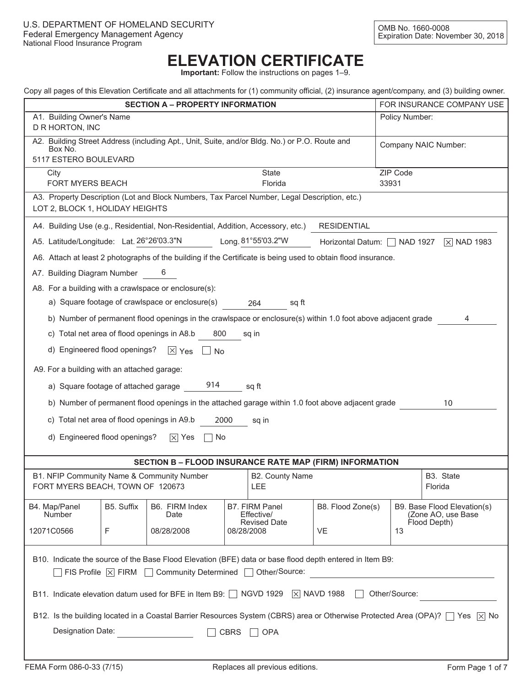# **ELEVATION CERTIFICATE**

**Important:** Follow the instructions on pages 1–9.

|  | Copy all pages of this Elevation Certificate and all attachments for (1) community official, (2) insurance agent/company, and (3) building owner. |  |  |  |  |  |
|--|---------------------------------------------------------------------------------------------------------------------------------------------------|--|--|--|--|--|
|  |                                                                                                                                                   |  |  |  |  |  |
|  |                                                                                                                                                   |  |  |  |  |  |
|  |                                                                                                                                                   |  |  |  |  |  |

| Copy all pages of this Elevation Centificate and all attachments for (1) community onicial, (2) insurance agent/company, and (3) building owner.<br><b>SECTION A - PROPERTY INFORMATION</b> |                                                                                                              |                                   |                            |    |                                                   |  |  |  |  |
|---------------------------------------------------------------------------------------------------------------------------------------------------------------------------------------------|--------------------------------------------------------------------------------------------------------------|-----------------------------------|----------------------------|----|---------------------------------------------------|--|--|--|--|
|                                                                                                                                                                                             |                                                                                                              | FOR INSURANCE COMPANY USE         |                            |    |                                                   |  |  |  |  |
| A1. Building Owner's Name<br>Policy Number:<br>D R HORTON, INC                                                                                                                              |                                                                                                              |                                   |                            |    |                                                   |  |  |  |  |
| A2. Building Street Address (including Apt., Unit, Suite, and/or Bldg. No.) or P.O. Route and<br>Company NAIC Number:<br>Box No.<br>5117 ESTERO BOULEVARD                                   |                                                                                                              |                                   |                            |    |                                                   |  |  |  |  |
|                                                                                                                                                                                             |                                                                                                              |                                   |                            |    |                                                   |  |  |  |  |
| ZIP Code<br>State<br>City<br><b>FORT MYERS BEACH</b><br>Florida<br>33931                                                                                                                    |                                                                                                              |                                   |                            |    |                                                   |  |  |  |  |
| A3. Property Description (Lot and Block Numbers, Tax Parcel Number, Legal Description, etc.)<br>LOT 2, BLOCK 1, HOLIDAY HEIGHTS                                                             |                                                                                                              |                                   |                            |    |                                                   |  |  |  |  |
| A4. Building Use (e.g., Residential, Non-Residential, Addition, Accessory, etc.)<br><b>RESIDENTIAL</b>                                                                                      |                                                                                                              |                                   |                            |    |                                                   |  |  |  |  |
| A5. Latitude/Longitude: Lat. 26°26'03.3"N                                                                                                                                                   |                                                                                                              | Long. 81°55'03.2"W                | Horizontal Datum: NAD 1927 |    | $\sqrt{2}$ NAD 1983                               |  |  |  |  |
| A6. Attach at least 2 photographs of the building if the Certificate is being used to obtain flood insurance.                                                                               |                                                                                                              |                                   |                            |    |                                                   |  |  |  |  |
| A7. Building Diagram Number                                                                                                                                                                 | 6                                                                                                            |                                   |                            |    |                                                   |  |  |  |  |
| A8. For a building with a crawlspace or enclosure(s):                                                                                                                                       |                                                                                                              |                                   |                            |    |                                                   |  |  |  |  |
| a) Square footage of crawlspace or enclosure(s)                                                                                                                                             |                                                                                                              | 264<br>sq ft                      |                            |    |                                                   |  |  |  |  |
|                                                                                                                                                                                             | b) Number of permanent flood openings in the crawlspace or enclosure(s) within 1.0 foot above adjacent grade |                                   |                            |    | 4                                                 |  |  |  |  |
| c) Total net area of flood openings in A8.b                                                                                                                                                 | 800                                                                                                          | sq in                             |                            |    |                                                   |  |  |  |  |
| d) Engineered flood openings?                                                                                                                                                               | $\boxed{\times}$ Yes<br><b>No</b>                                                                            |                                   |                            |    |                                                   |  |  |  |  |
| A9. For a building with an attached garage:                                                                                                                                                 |                                                                                                              |                                   |                            |    |                                                   |  |  |  |  |
| a) Square footage of attached garage 914<br>sq ft                                                                                                                                           |                                                                                                              |                                   |                            |    |                                                   |  |  |  |  |
| b) Number of permanent flood openings in the attached garage within 1.0 foot above adjacent grade<br>10                                                                                     |                                                                                                              |                                   |                            |    |                                                   |  |  |  |  |
| c) Total net area of flood openings in A9.b                                                                                                                                                 | 2000                                                                                                         | sq in                             |                            |    |                                                   |  |  |  |  |
| d) Engineered flood openings?                                                                                                                                                               | $ \times $ Yes<br>No.                                                                                        |                                   |                            |    |                                                   |  |  |  |  |
|                                                                                                                                                                                             | <b>SECTION B - FLOOD INSURANCE RATE MAP (FIRM) INFORMATION</b>                                               |                                   |                            |    |                                                   |  |  |  |  |
| B1. NFIP Community Name & Community Number                                                                                                                                                  |                                                                                                              | B2. County Name                   |                            |    | B3. State                                         |  |  |  |  |
| FORT MYERS BEACH, TOWN OF 120673                                                                                                                                                            |                                                                                                              | LEE                               |                            |    | Florida                                           |  |  |  |  |
| B5. Suffix<br>B4. Map/Panel<br><b>Number</b>                                                                                                                                                | B6. FIRM Index<br>Date                                                                                       | B7. FIRM Panel<br>Effective/      | B8. Flood Zone(s)          |    | B9. Base Flood Elevation(s)<br>(Zone AO, use Base |  |  |  |  |
| 12071C0566<br>F                                                                                                                                                                             | 08/28/2008                                                                                                   | <b>Revised Date</b><br>08/28/2008 | VE                         | 13 | Flood Depth)                                      |  |  |  |  |
| B10. Indicate the source of the Base Flood Elevation (BFE) data or base flood depth entered in Item B9:                                                                                     |                                                                                                              |                                   |                            |    |                                                   |  |  |  |  |
| $\exists$ FIS Profile $\boxtimes$ FIRM $\Box$ Community Determined $\Box$ Other/Source:                                                                                                     |                                                                                                              |                                   |                            |    |                                                   |  |  |  |  |
| B11. Indicate elevation datum used for BFE in Item B9: □ NGVD 1929   × NAVD 1988<br>Other/Source:                                                                                           |                                                                                                              |                                   |                            |    |                                                   |  |  |  |  |
| B12. Is the building located in a Coastal Barrier Resources System (CBRS) area or Otherwise Protected Area (OPA)? T Yes X No                                                                |                                                                                                              |                                   |                            |    |                                                   |  |  |  |  |
| Designation Date:                                                                                                                                                                           | CBRS                                                                                                         | $\Box$ OPA                        |                            |    |                                                   |  |  |  |  |
|                                                                                                                                                                                             |                                                                                                              |                                   |                            |    |                                                   |  |  |  |  |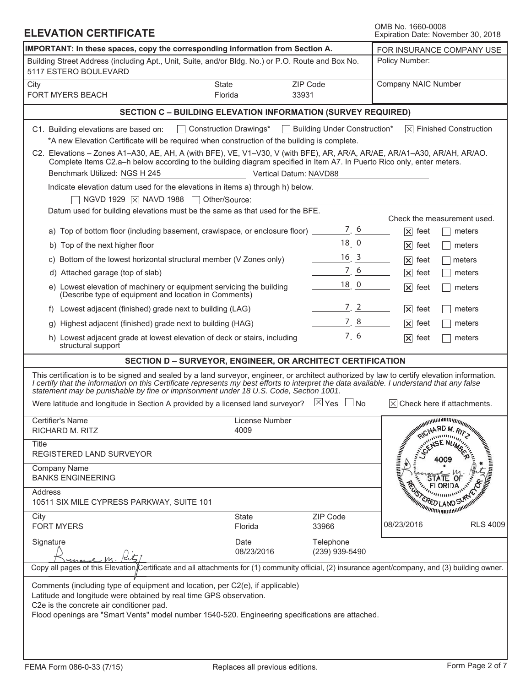| <b>ELEVATION CERTIFICATE</b>                                                                                                                                                                                                                                                                                                                                                        | OMB No. 1660-0008<br>Expiration Date: November 30, 2018                                                                                          |                                      |                                                                                                                                                                                                                               |                                                                                                                      |
|-------------------------------------------------------------------------------------------------------------------------------------------------------------------------------------------------------------------------------------------------------------------------------------------------------------------------------------------------------------------------------------|--------------------------------------------------------------------------------------------------------------------------------------------------|--------------------------------------|-------------------------------------------------------------------------------------------------------------------------------------------------------------------------------------------------------------------------------|----------------------------------------------------------------------------------------------------------------------|
| IMPORTANT: In these spaces, copy the corresponding information from Section A.                                                                                                                                                                                                                                                                                                      | FOR INSURANCE COMPANY USE                                                                                                                        |                                      |                                                                                                                                                                                                                               |                                                                                                                      |
| Building Street Address (including Apt., Unit, Suite, and/or Bldg. No.) or P.O. Route and Box No.<br>5117 ESTERO BOULEVARD                                                                                                                                                                                                                                                          |                                                                                                                                                  |                                      | Policy Number:                                                                                                                                                                                                                |                                                                                                                      |
| City<br><b>FORT MYERS BEACH</b>                                                                                                                                                                                                                                                                                                                                                     | State<br>33931<br>Florida                                                                                                                        | ZIP Code                             | Company NAIC Number                                                                                                                                                                                                           |                                                                                                                      |
|                                                                                                                                                                                                                                                                                                                                                                                     | <b>SECTION C - BUILDING ELEVATION INFORMATION (SURVEY REQUIRED)</b>                                                                              |                                      |                                                                                                                                                                                                                               |                                                                                                                      |
| C1. Building elevations are based on:                                                                                                                                                                                                                                                                                                                                               | Construction Drawings*                                                                                                                           | $\Box$ Building Under Construction*  |                                                                                                                                                                                                                               | $ \times $ Finished Construction                                                                                     |
|                                                                                                                                                                                                                                                                                                                                                                                     | *A new Elevation Certificate will be required when construction of the building is complete.                                                     |                                      |                                                                                                                                                                                                                               |                                                                                                                      |
| C2. Elevations - Zones A1-A30, AE, AH, A (with BFE), VE, V1-V30, V (with BFE), AR, AR/A, AR/AE, AR/A1-A30, AR/AH, AR/AO.<br>Benchmark Utilized: NGS H 245                                                                                                                                                                                                                           | Complete Items C2.a-h below according to the building diagram specified in Item A7. In Puerto Rico only, enter meters.<br>Vertical Datum: NAVD88 |                                      |                                                                                                                                                                                                                               |                                                                                                                      |
|                                                                                                                                                                                                                                                                                                                                                                                     | Indicate elevation datum used for the elevations in items a) through h) below.                                                                   |                                      |                                                                                                                                                                                                                               |                                                                                                                      |
| $\overline{\phantom{a}}$ NGVD 1929 $\overline{\phantom{a}}$ NAVD 1988 $\overline{\phantom{a}}$ Other/Source:                                                                                                                                                                                                                                                                        |                                                                                                                                                  |                                      |                                                                                                                                                                                                                               |                                                                                                                      |
|                                                                                                                                                                                                                                                                                                                                                                                     | Datum used for building elevations must be the same as that used for the BFE.                                                                    |                                      | Check the measurement used.                                                                                                                                                                                                   |                                                                                                                      |
|                                                                                                                                                                                                                                                                                                                                                                                     | a) Top of bottom floor (including basement, crawlspace, or enclosure floor)                                                                      | 7.6                                  | $ \mathsf{x} $<br>feet                                                                                                                                                                                                        | meters                                                                                                               |
| b) Top of the next higher floor                                                                                                                                                                                                                                                                                                                                                     |                                                                                                                                                  | 18.0                                 | $ \mathsf{x} $<br>feet                                                                                                                                                                                                        | meters                                                                                                               |
| c) Bottom of the lowest horizontal structural member (V Zones only)                                                                                                                                                                                                                                                                                                                 |                                                                                                                                                  | $16 \ 3$                             | $ \mathsf{x} $<br>feet                                                                                                                                                                                                        | meters                                                                                                               |
| d) Attached garage (top of slab)                                                                                                                                                                                                                                                                                                                                                    |                                                                                                                                                  | 7, 6                                 | $ \mathsf{x} $<br>feet                                                                                                                                                                                                        | meters                                                                                                               |
| e) Lowest elevation of machinery or equipment servicing the building<br>(Describe type of equipment and location in Comments)                                                                                                                                                                                                                                                       |                                                                                                                                                  | $181$ 0                              | $ \mathsf{x} $<br>feet                                                                                                                                                                                                        | meters                                                                                                               |
| Lowest adjacent (finished) grade next to building (LAG)<br>f)                                                                                                                                                                                                                                                                                                                       |                                                                                                                                                  | 7, 2                                 | $ \mathsf{x} $<br>feet                                                                                                                                                                                                        | meters                                                                                                               |
| g) Highest adjacent (finished) grade next to building (HAG)                                                                                                                                                                                                                                                                                                                         |                                                                                                                                                  | 7, 8                                 | $ \mathsf{x} $<br>feet                                                                                                                                                                                                        | meters                                                                                                               |
| h) Lowest adjacent grade at lowest elevation of deck or stairs, including<br>structural support                                                                                                                                                                                                                                                                                     |                                                                                                                                                  | 7, 6                                 | $\overline{\mathsf{x}}$<br>feet                                                                                                                                                                                               | meters                                                                                                               |
|                                                                                                                                                                                                                                                                                                                                                                                     | SECTION D - SURVEYOR, ENGINEER, OR ARCHITECT CERTIFICATION                                                                                       |                                      |                                                                                                                                                                                                                               |                                                                                                                      |
| This certification is to be signed and sealed by a land surveyor, engineer, or architect authorized by law to certify elevation information.<br>I certify that the information on this Certificate represents my best efforts to interpret the data available. I understand that any false<br>statement may be punishable by fine or imprisonment under 18 U.S. Code, Section 1001. |                                                                                                                                                  |                                      |                                                                                                                                                                                                                               |                                                                                                                      |
| Were latitude and longitude in Section A provided by a licensed land surveyor?                                                                                                                                                                                                                                                                                                      |                                                                                                                                                  | $\boxtimes$ Yes $\perp$<br>$\Box$ No |                                                                                                                                                                                                                               |                                                                                                                      |
| Certifier's Name<br>RICHARD M. RITZ                                                                                                                                                                                                                                                                                                                                                 | License Number<br>4009                                                                                                                           |                                      | S If attack of the street of the street of the street of the street of the street of the street of the street of the street of the street of the street of the street of the street of the street of the street of the street |                                                                                                                      |
| Title<br><b>REGISTERED LAND SURVEYOR</b>                                                                                                                                                                                                                                                                                                                                            |                                                                                                                                                  |                                      |                                                                                                                                                                                                                               |                                                                                                                      |
| <b>Company Name</b><br><b>BANKS ENGINEERING</b>                                                                                                                                                                                                                                                                                                                                     |                                                                                                                                                  |                                      |                                                                                                                                                                                                                               |                                                                                                                      |
| <b>Address</b><br>10511 SIX MILE CYPRESS PARKWAY, SUITE 101                                                                                                                                                                                                                                                                                                                         |                                                                                                                                                  |                                      |                                                                                                                                                                                                                               | <b>SERVICE CAND STRANGE CAN ARE ANNUAL SERVICE SERVICE SERVICE SERVICE SERVICE SERVICE SERVICE SERVICE SERVICE S</b> |
| City<br><b>FORT MYERS</b>                                                                                                                                                                                                                                                                                                                                                           | <b>State</b><br>Florida                                                                                                                          | ZIP Code<br>33966                    | 08/23/2016                                                                                                                                                                                                                    | <b>RLS 4009</b>                                                                                                      |
| Signature                                                                                                                                                                                                                                                                                                                                                                           | Date<br>08/23/2016                                                                                                                               | Telephone<br>(239) 939-5490          |                                                                                                                                                                                                                               |                                                                                                                      |
| Copy all pages of this Elevation)Certificate and all attachments for (1) community official, (2) insurance agent/company, and (3) building owner.                                                                                                                                                                                                                                   |                                                                                                                                                  |                                      |                                                                                                                                                                                                                               |                                                                                                                      |
| Comments (including type of equipment and location, per C2(e), if applicable)<br>Latitude and longitude were obtained by real time GPS observation.<br>C2e is the concrete air conditioner pad.<br>Flood openings are "Smart Vents" model number 1540-520. Engineering specifications are attached.                                                                                 |                                                                                                                                                  |                                      |                                                                                                                                                                                                                               |                                                                                                                      |
|                                                                                                                                                                                                                                                                                                                                                                                     |                                                                                                                                                  |                                      |                                                                                                                                                                                                                               |                                                                                                                      |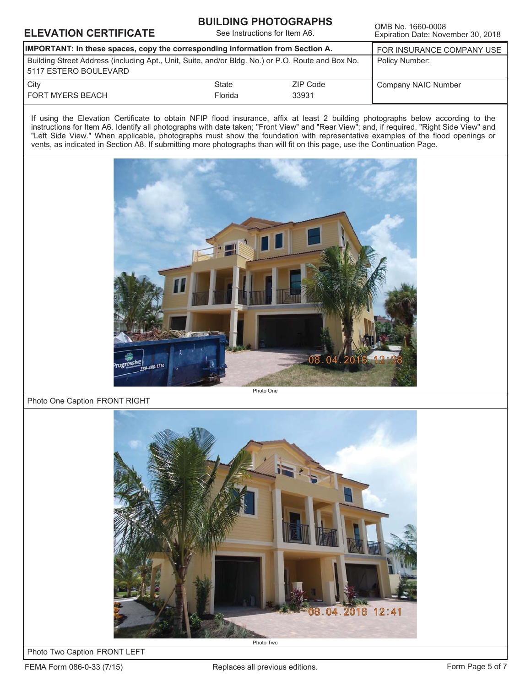# **ELEVATION CERTIFICATE**<br>Expiration Date: Nove

#### **BUILDING PHOTOGRAPHS**

See Instructions for Item A6.

Expiration Date: November 30, 2018

| <b>IMPORTANT:</b> In these spaces, copy the corresponding information from Section A.                                      | FOR INSURANCE COMPANY USE |                   |                     |
|----------------------------------------------------------------------------------------------------------------------------|---------------------------|-------------------|---------------------|
| Building Street Address (including Apt., Unit, Suite, and/or Bldg. No.) or P.O. Route and Box No.<br>5117 ESTERO BOULEVARD | Policy Number:            |                   |                     |
| City<br>FORT MYERS BEACH                                                                                                   | State<br>Florida          | ZIP Code<br>33931 | Company NAIC Number |
|                                                                                                                            |                           |                   |                     |

If using the Elevation Certificate to obtain NFIP flood insurance, affix at least 2 building photographs below according to the instructions for Item A6. Identify all photographs with date taken; "Front View" and "Rear View"; and, if required, "Right Side View" and "Left Side View." When applicable, photographs must show the foundation with representative examples of the flood openings or vents, as indicated in Section A8. If submitting more photographs than will fit on this page, use the Continuation Page.



Photo One Caption FRONT RIGHT



Photo Two Caption FRONT LEFT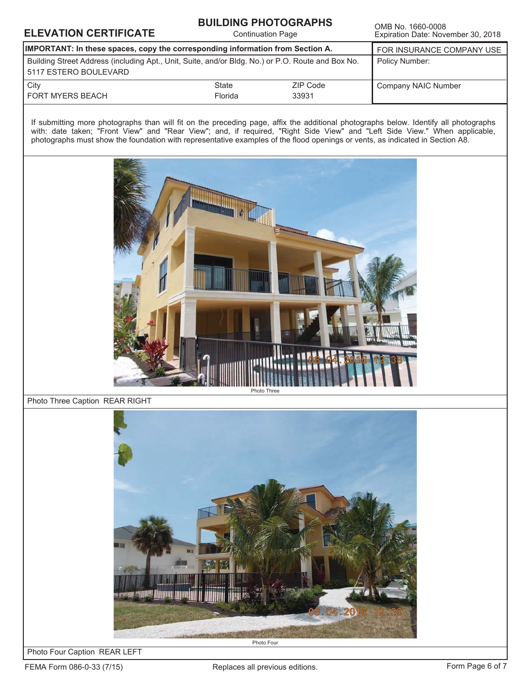# **ELEVATION CERTIFICATE**<br>Continuation Page Expiration Date: Nove

#### **BUILDING PHOTOGRAPHS**

Continuation Page

Expiration Date: November 30, 2018

| IMPORTANT: In these spaces, copy the corresponding information from Section A.                                             | FOR INSURANCE COMPANY USE |                   |                     |
|----------------------------------------------------------------------------------------------------------------------------|---------------------------|-------------------|---------------------|
| Building Street Address (including Apt., Unit, Suite, and/or Bldg. No.) or P.O. Route and Box No.<br>5117 ESTERO BOULEVARD | Policy Number:            |                   |                     |
| City<br><b>FORT MYERS BEACH</b>                                                                                            | State<br>Florida          | ZIP Code<br>33931 | Company NAIC Number |

If submitting more photographs than will fit on the preceding page, affix the additional photographs below. Identify all photographs with: date taken; "Front View" and "Rear View"; and, if required, "Right Side View" and "Left Side View." When applicable, photographs must show the foundation with representative examples of the flood openings or vents, as indicated in Section A8.



Photo Three Caption REAR RIGHT



Photo Four Caption REAR LEFT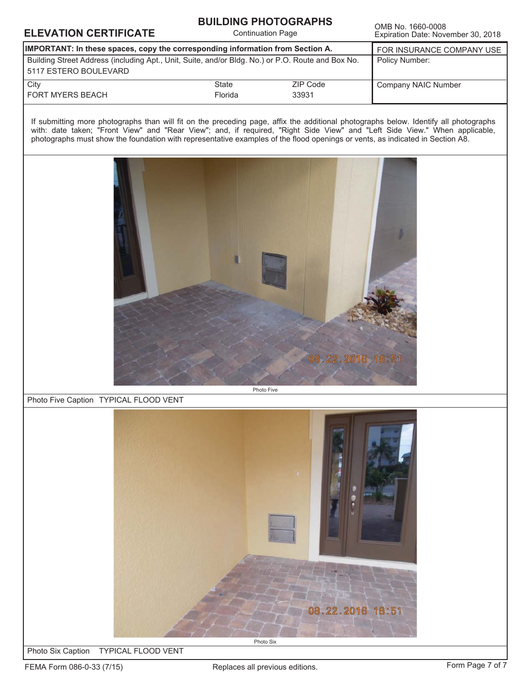## **ELEVATION CERTIFICATE**<br>Continuation Page Expiration Date: Nove

**BUILDING PHOTOGRAPHS** Continuation Page

Expiration Date: November 30, 2018

| IMPORTANT: In these spaces, copy the corresponding information from Section A.                                             | FOR INSURANCE COMPANY USE |          |                     |
|----------------------------------------------------------------------------------------------------------------------------|---------------------------|----------|---------------------|
| Building Street Address (including Apt., Unit, Suite, and/or Bldg. No.) or P.O. Route and Box No.<br>5117 ESTERO BOULEVARD | Policy Number:            |          |                     |
| City                                                                                                                       | State                     | ZIP Code | Company NAIC Number |
| FORT MYERS BEACH                                                                                                           | Florida                   | 33931    |                     |

If submitting more photographs than will fit on the preceding page, affix the additional photographs below. Identify all photographs with: date taken; "Front View" and "Rear View"; and, if required, "Right Side View" and "Left Side View." When applicable, photographs must show the foundation with representative examples of the flood openings or vents, as indicated in Section A8.



#### Photo Five Caption TYPICAL FLOOD VENT



**Photo Six Caption** TYPICAL FLOOD VENT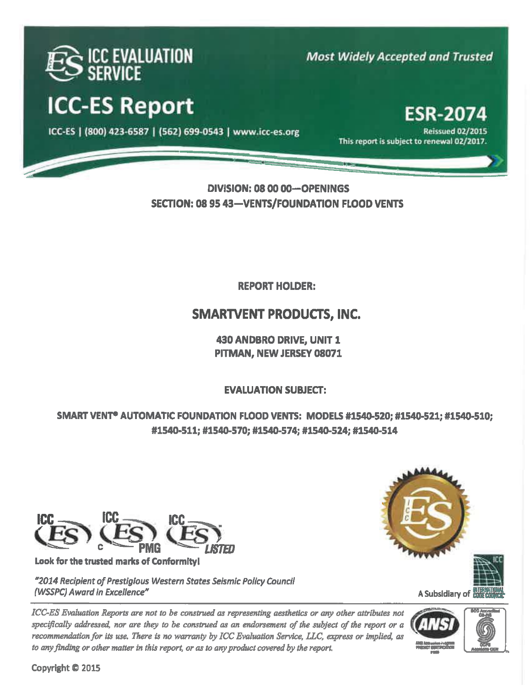![](_page_5_Picture_0.jpeg)

# **ICC-ES Report**

ICC-ES | (800) 423-6587 | (562) 699-0543 | www.icc-es.org

**Most Widely Accepted and Trusted** 

## **ESR-2074 Reissued 02/2015**

This report is subject to renewal 02/2017.

## DIVISION: 08 00 00-OPENINGS **SECTION: 08 95 43-VENTS/FOUNDATION FLOOD VENTS**

**REPORT HOLDER:** 

## **SMARTVENT PRODUCTS, INC.**

430 ANDBRO DRIVE, UNIT 1 PITMAN, NEW JERSEY 08071

**EVALUATION SUBJECT:** 

SMART VENT<sup>®</sup> AUTOMATIC FOUNDATION FLOOD VENTS: MODELS #1540-520; #1540-521; #1540-510; #1540-511; #1540-570; #1540-574; #1540-524; #1540-514

![](_page_5_Picture_12.jpeg)

Look for the trusted marks of Conformity!

"2014 Recipient of Prestigious Western States Seismic Policy Council (WSSPC) Award in Excellence"

ICC-ES Evaluation Reports are not to be construed as representing aesthetics or any other attributes not specifically addressed, nor are they to be construed as an endorsement of the subject of the report or a recommendation for its use. There is no warranty by ICC Evaluation Service, LLC, express or implied, as to any finding or other matter in this report, or as to any product covered by the report.

![](_page_5_Picture_16.jpeg)

A Subsidiary of &

![](_page_5_Picture_18.jpeg)

![](_page_5_Picture_19.jpeg)

Copyright @ 2015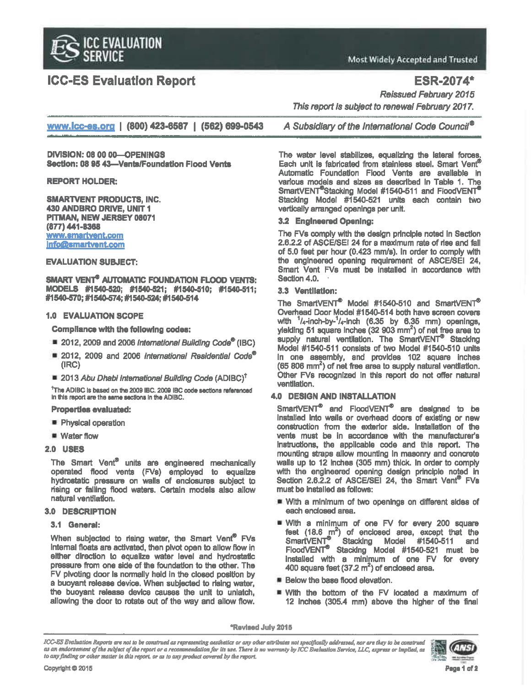![](_page_6_Picture_0.jpeg)

## **ICC-ES Evaluation Report**

**Most Widely Accepted and Trusted** 

**ESR-2074\*** 

**Reissued February 2015** 

www.icc-es.org | (800) 423-6587 | (562) 699-0543

**DIVISION: 08 00 00-OPENINGS** Section: 08 95 43-Vents/Foundation Flood Vents

**REPORT HOLDER:** 

**SMARTVENT PRODUCTS, INC.** 430 ANDBRO DRIVE, UNIT 1 PITMAN, NEW JERSEY 08071 (877) 441-8368 www.smartvent.com **Info@smartvent.com** 

#### **EVALUATION SUBJECT:**

**SMART VENT<sup>®</sup> AUTOMATIC FOUNDATION FLOOD VENTS:** MODELS #1540-520; #1540-521; #1540-510; #1540-511; #1540-570; #1540-574; #1540-524; #1540-514

#### **1.0 EVALUATION SCOPE**

**Compliance with the following codes:** 

- 2012, 2009 and 2006 International Building Code<sup>®</sup> (IBC)
- 2012, 2009 and 2006 International Residential Code<sup>®</sup>  $(IRC)$
- 2013 Abu Dhabi International Building Code (ADIBC)<sup>T</sup>

<sup>†</sup>The ADIBC is based on the 2009 IBC. 2009 IBC code sections referenced in this report are the same sections in the ADIBC.

#### **Properties evaluated:**

- Physical operation
- $\equiv$  Water flow
- **2.0 USES**

The Smart Vent® units are engineered mechanically operated flood vents (FVs) employed to equalize hydrostatic pressure on walls of enclosures subject to rising or falling flood waters. Certain models also allow natural ventilation.

#### 3.0 DESCRIPTION

#### 3.1 General:

When subjected to rising water, the Smart Vent<sup>®</sup> FVs internal floats are activated, then pivot open to allow flow in either direction to equalize water level and hydrostatic pressure from one side of the foundation to the other. The FV pivoting door is normally held in the closed position by a buoyant release device. When subjected to rising water, the buoyant release device causes the unit to unlatch, allowing the door to rotate out of the way and allow flow.

A Subsidiary of the International Code Council<sup>®</sup>

This report is subject to renewal February 2017.

The water level stabilizes, equalizing the lateral forces, Each unit is fabricated from stainless steel. Smart Vent® Automatic Foundation Flood Vents are available in various models and sizes as described in Table 1. The SmartVENT<sup>®</sup>Stacking Model #1540-511 and FloodVENT<sup>®</sup> Stacking Model #1540-521 units each contain two vertically arranged openings per unit.

#### 3.2 Engineered Opening:

The FVs comply with the design principle noted in Section 2.6.2.2 of ASCE/SEI 24 for a maximum rate of rise and fall of 5.0 feet per hour (0.423 mm/s). In order to comply with the engineered opening requirement of ASCE/SEI 24, Smart Vent FVs must be installed in accordance with Section 4.0.

#### 3.3 Ventilation:

The SmartVENT<sup>®</sup> Model #1540-510 and SmartVENT<sup>®</sup> Overhead Door Model #1540-514 both have screen covers with  $\frac{1}{4}$ -inch-by- $\frac{1}{4}$ -inch (6.35 by 6.35 mm) openings, ylelding 51 square inches (32 903 mm<sup>2</sup>) of net free area to<br>supply natural ventilation. The SmartVENT<sup>®</sup> Stacking Model #1540-511 consists of two Model #1540-510 units in one assembly, and provides 102 square inches (65 806 mm<sup>2</sup>) of net free area to supply natural ventilation. Other FVs recognized in this report do not offer natural ventilation.

#### **4.0 DESIGN AND INSTALLATION**

SmartVENT<sup>®</sup> and FloodVENT<sup>®</sup> are designed to be installed into walls or overhead doors of existing or new construction from the exterior side. Installation of the vents must be in accordance with the manufacturer's instructions, the applicable code and this report. The mounting straps allow mounting in masonry and concrete walls up to 12 inches (305 mm) thick. In order to comply with the engineered opening design principle noted in<br>Section 2.6.2.2 of ASCE/SEI 24, the Smart Vent<sup>®</sup> FVs must be installed as follows:

- With a minimum of two openings on different sides of each enclosed area.
- With a minimum of one FV for every 200 square feet  $(18.6 \text{ m}^2)$  of enclosed area, except that the **SmartVENT** Stacking Model #1540-511 and FloodVENT<sup>®</sup> Stacking Model #1540-521 must be installed with a minimum of one FV for every 400 square feet  $(37.2 \text{ m}^2)$  of enclosed area.
- **Below the base flood elevation.**
- With the bottom of the FV located a maximum of 12 inches (305.4 mm) above the higher of the final

\*Revised July 2015

ICC-ES Evaluation Reports are not to be construed as representing aesthetics or any other attributes not specifically addressed, nor are they to be construed as an endorsement of the subject of the report or a recommendation for its use. There is no warranty by ICC Evaluation Service, LLC, express or implied, as to any finding or other matter in this report, or as to any product covered by the report.

![](_page_6_Picture_38.jpeg)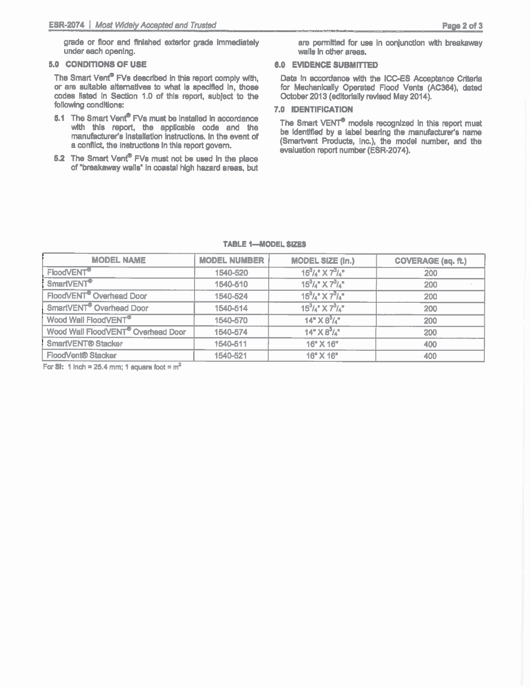grade or floor and finished exterior grade immediately under each opening.

#### 5.0 CONDITIONS OF USE

The Smart Vent<sup>®</sup> FVs described in this report comply with. or are sultable alternatives to what is specified in, those codes listed in Section 1.0 of this report, subject to the following conditions:

- 5.1 The Smart Vent® FVs must be installed in accordance with this report, the applicable code and the manufacturer's installation instructions. In the event of a conflict, the instructions in this report govern.
- 5.2 The Smart Vent® FVs must not be used in the place of "breakaway walls" in coastal high hazard areas, but

are permitted for use in conjunction with breakaway walls in other areas.

#### **6.0 EVIDENCE SUBMITTED**

Data in accordance with the ICC-ES Acceptance Criteria for Mechanically Operated Flood Vents (AC364), dated October 2013 (editorially revised May 2014).

#### **7.0 IDENTIFICATION**

The Smart VENT<sup>®</sup> models recognized in this report must be identified by a label bearing the manufacturer's name (Smartvent Products, Inc.), the model number, and the evaluation report number (ESR-2074).

| <b>MODEL NAME</b>                              | <b>MODEL NUMBER</b> | <b>MODEL SIZE (In.)</b>          | <b>COVERAGE (sq. ft.)</b> |
|------------------------------------------------|---------------------|----------------------------------|---------------------------|
| FloodVENT <sup>®</sup>                         | 1540-520            | $15^{3}/_{4}$ " X $7^{3}/_{4}$ " | 200                       |
| SmartVENT <sup>®</sup>                         | 1540-510            | $15^{3}$ /4" $X 7^{3}$ /4"       | 200                       |
| FloodVENT <sup>®</sup> Overhead Door           | 1540-524            | $15^{3}$ /4" $X7^{3}$ /4"        | 200                       |
| SmartVENT® Overhead Door                       | 1540-514            | $15^{3}/4$ " X $7^{3}/4$ "       | 200                       |
| Wood Wall FloodVENT®                           | 1540-570            | $14" \times 8^3 / 4"$            | 200                       |
| Wood Wall FloodVENT <sup>®</sup> Overhead Door | 1540-574            | $14" \times 8^3/\mu$             | 200                       |
| <b>SmartVENT® Stacker</b>                      | 1540-511            | $16"$ X $16"$                    | 400                       |
| <b>FloodVent® Stacker</b>                      | 1540-521            | 16" X 16"                        | 400                       |

#### **TABLE 1-MODEL SIZES**

For SI: 1 Inch = 25.4 mm; 1 square foot =  $m^2$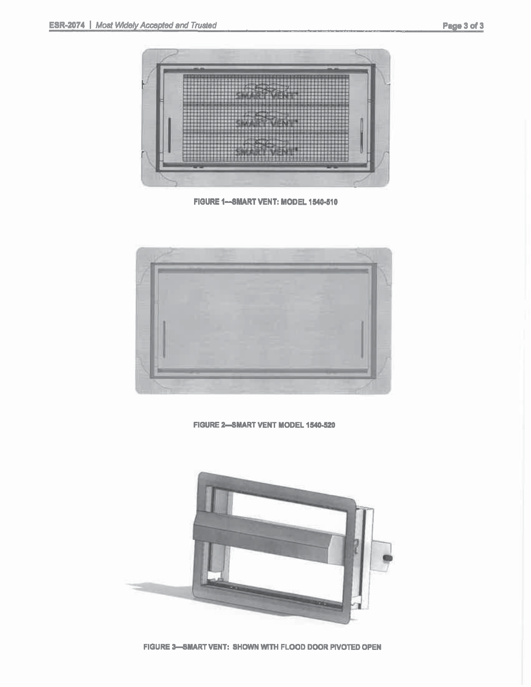![](_page_8_Picture_2.jpeg)

FIGURE 1-SMART VENT: MODEL 1540-510

![](_page_8_Picture_4.jpeg)

FIGURE 2-SMART VENT MODEL 1540-520

![](_page_8_Picture_6.jpeg)